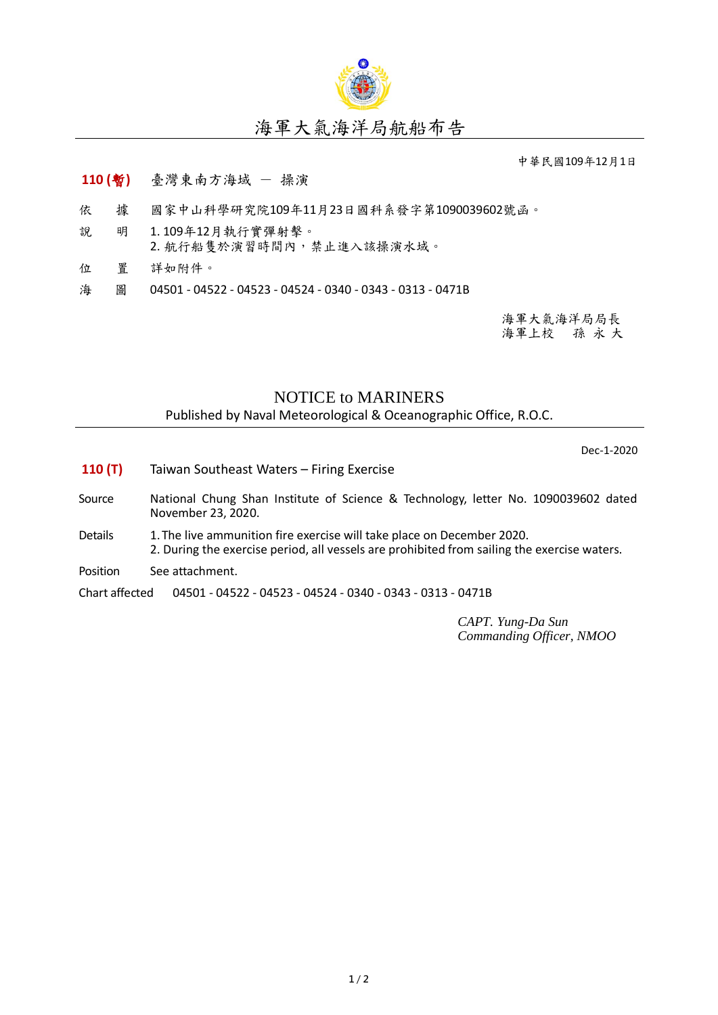

## 海軍大氣海洋局航船布告

中華民國109年12月1日

## **110 (**暫**)** 臺灣東南方海域 - 操演

- 依 據 國家中山科學研究院109年11月23日國科系發字第1090039602號函。
- 說 明 1. 109年12月執行實彈射擊。
- 2. 航行船隻於演習時間內,禁止進入該操演水域。
- 位 置 詳如附件。
- 海 圖 04501 04522 04523 04524 0340 0343 0313 0471B

海軍大氣海洋局局長 海軍上校 孫 永 大

## NOTICE to MARINERS

Published by Naval Meteorological & Oceanographic Office, R.O.C.

Dec-1-2020

- **110 (T)** Taiwan Southeast Waters Firing Exercise
- Source National Chung Shan Institute of Science & Technology, letter No. 1090039602 dated November 23, 2020.
- Details 1. The live ammunition fire exercise will take place on December 2020. 2. During the exercise period, all vessels are prohibited from sailing the exercise waters.
- Position See attachment.

Chart affected 04501 - 04522 - 04523 - 04524 - 0340 - 0343 - 0313 - 0471B

*CAPT. Yung-Da Sun Commanding Officer, NMOO*